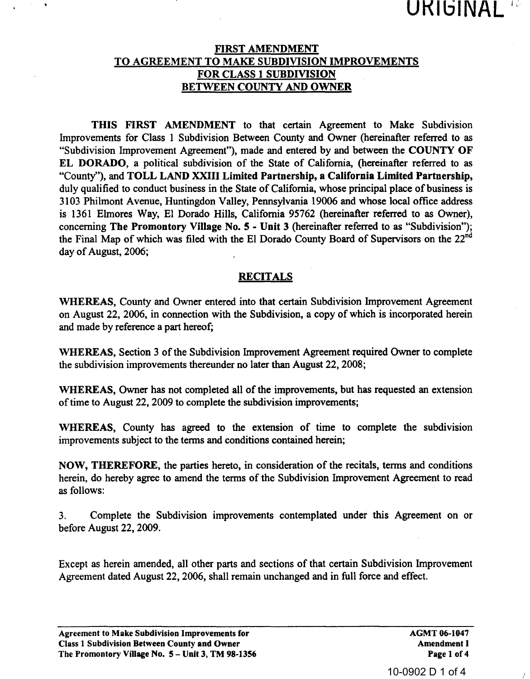## FIRST AMENDMENT TO AGREEMENT TO MAKE SUBDIVISION IMPROVEMENTS FOR CLASS 1 SUBDIVISION BETWEEN COUNTY AND OWNER

THIS FIRST AMENDMENT to that certain Agreement to Make Subdivision Improvements for Class 1 Subdivision Between County and Owner (hereinafter referred to as "Subdivision Improvement Agreement"), made and entered by and between the COUNTY OF EL DORADO, a political subdivision of the State of California, (hereinafter referred to as "County"), and TOLL LAND XXIII Limited Partnership, a California Limited Partnership, duly qualified to conduct business in the State of California, whose principal place of business is 3103 Philmont Avenue, Huntingdon Valley, Pennsylvania 19006 and whose local office address is 1361 Elmores Way, El Dorado Hills, California 95762 (hereinafter referred to as Owner), concerning The Promontory Village No. 5 - Unit 3 (hereinafter referred to as "Subdivision"); the Final Map of which was filed with the El Dorado County Board of Supervisors on the 22<sup>nd</sup> day of August, 2006; is 1361 Elmores Way, El Dorndo Hills, California 95762 (hereinafter referred to as "Subdivision")<br>
conocerning The Promontory Village No. 5 - Unit 3 (hereinafter referred to as "Subdivision")<br>
the Final Map of which was fi

## **RECITALS**

WHEREAS, County and Owner entered into that certain Subdivision Improvement Agreement on August 22, 2006, in connection with the Subdivision, a copy of which is incorporated herein and made by reference a part hereof;

WHEREAS, Section 3 of the Subdivision Improvement Agreement required Owner to complete the subdivision improvements thereunder no later than August 22, 2008;

WHEREAS, Owner has not completed all of the improvements, but has requested an extension of time to August 22, 2009 to complete the subdivision improvements;

WHEREAS, County has agreed to the extension of time to complete the subdivision improvements subject to the terms and conditions contained herein;

NOW, THEREFORE, the parties hereto, in consideration of the recitals, terms and conditions herein, do hereby agree to amend the terms of the Subdivision Improvement Agreement to read as follows:

3. Complete the Subdivision improvements contemplated under this Agreement on or before August 22, 2009.

Except as herein amended, all other parts and sections of that certain Subdivision Improvement Agreement dated August 22, 2006, shall remain unchanged and in full force and effect.

AGMT 06-1047 Amendment I Page 1 of 4

UKIGINA

10-0902 D 1 of 4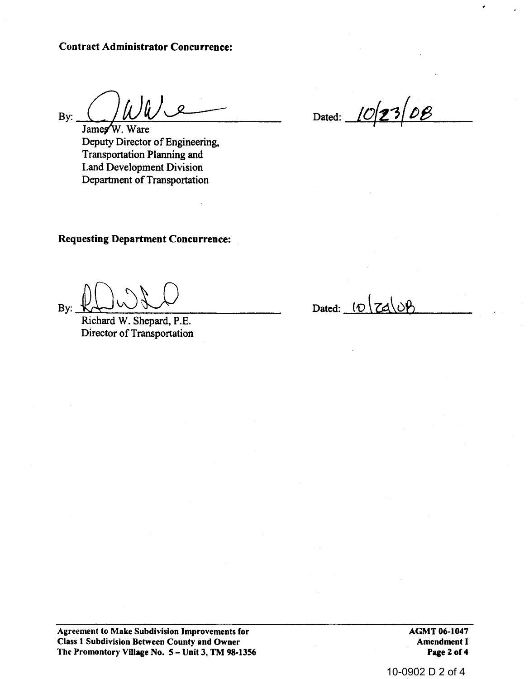By:  $\frac{1}{\text{James W. Ware}}$ 

Deputy Director of Engineering, Transportation Planning and Land Development Division Department of Transportation

Dated: 102308

Requesting Department Concurrence:

Requesting Department Concurrence:<br>By:  $\bigcup_{\text{Richard W. Shepard, P.E.}}$ 

Director of Transportation

Dated:  $10 \, \text{Zd} \, \text{OB}$ 

Agreement to Make Subdivision Improvements for Class 1 Subdivision Between County and Owner The Promontory Village No. 5 - Unit 3, TM 98-1356 AGMT 06-1047 Amendment I Page 2 of 4

10-0902 D 2 of 4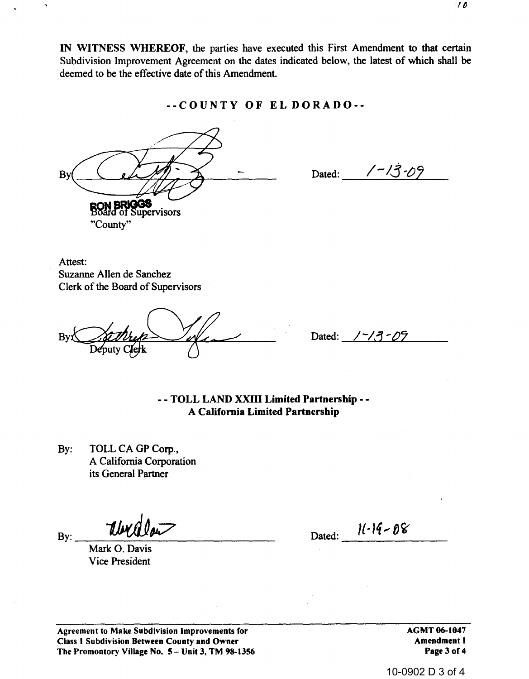IN WITNESS WHEREOF, the parties have executed this First Amendment to that certain Subdivision Improvement Agreement on the dates indicated below, the latest of which shall be deemed to be the effective date of this Amendment.

--COUNTY OF EL DORADO--

By **RON BRIGGS** "County"

Dated:  $\frac{7-\sqrt{3}-09}{2}$ 

Attest: Suzanne Allen de Sanchez Clerk of the Board of Supervisors

Bv:

 $1 - 13 - 09$ Dated:

-- TOLL LAND XXIII Limited Partnership --A California Limited Partnership

 $By:$ TOLL CA GP Corp., A California Corporation its General Partner

Uw.

Mark O. Davis **Vice President** 

 $By:$ 

Dated:  $11 - 19 - 08$ 

Agreement to Make Subdivision Improvements for Class 1 Subdivision Between County and Owner The Promontory Village No. 5 - Unit 3, TM 98-1356 AGMT 06-1047 **Amendment I** Page 3 of 4

10-0902 D 3 of 4